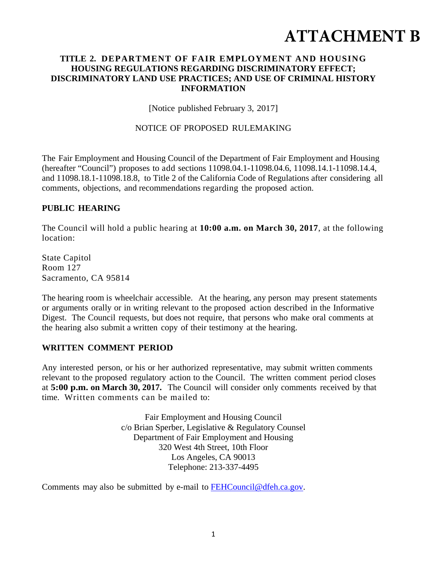# **ATTACHMENT B**

#### **TITLE 2. DEPARTMENT OF FAIR EMPLOYMENT AND HOUSING HOUSING REGULATIONS REGARDING DISCRIMINATORY EFFECT; DISCRIMINATORY LAND USE PRACTICES; AND USE OF CRIMINAL HISTORY INFORMATION**

[Notice published February 3, 2017]

#### NOTICE OF PROPOSED RULEMAKING

The Fair Employment and Housing Council of the Department of Fair Employment and Housing (hereafter "Council") proposes to add sections 11098.04.1-11098.04.6, 11098.14.1-11098.14.4, and 11098.18.1-11098.18.8, to Title 2 of the California Code of Regulations after considering all comments, objections, and recommendations regarding the proposed action.

#### **PUBLIC HEARING**

The Council will hold a public hearing at **10:00 a.m. on March 30, 2017**, at the following location:

State Capitol Room 127 Sacramento, CA 95814

The hearing room is wheelchair accessible. At the hearing, any person may present statements or arguments orally or in writing relevant to the proposed action described in the Informative Digest. The Council requests, but does not require, that persons who make oral comments at the hearing also submit a written copy of their testimony at the hearing.

#### **WRITTEN COMMENT PERIOD**

Any interested person, or his or her authorized representative, may submit written comments relevant to the proposed regulatory action to the Council. The written comment period closes at **5:00 p.m. on March 30, 2017.** The Council will consider only comments received by that time. Written comments can be mailed to:

> Fair Employment and Housing Council c/o Brian Sperber, Legislative & Regulatory Counsel Department of Fair Employment and Housing 320 West 4th Street, 10th Floor Los Angeles, CA 90013 Telephone: 213-337-4495

Comments may also be submitted by e-mail to FEHCouncil@dfeh.ca.gov.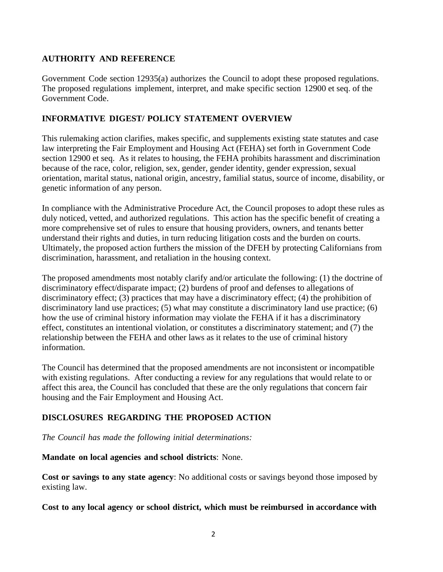## **AUTHORITY AND REFERENCE**

Government Code section 12935(a) authorizes the Council to adopt these proposed regulations. The proposed regulations implement, interpret, and make specific section 12900 et seq. of the Government Code.

## **INFORMATIVE DIGEST/ POLICY STATEMENT OVERVIEW**

This rulemaking action clarifies, makes specific, and supplements existing state statutes and case law interpreting the Fair Employment and Housing Act (FEHA) set forth in Government Code section 12900 et seq. As it relates to housing, the FEHA prohibits harassment and discrimination because of the race, color, religion, sex, gender, gender identity, gender expression, sexual orientation, marital status, national origin, ancestry, familial status, source of income, disability, or genetic information of any person.

In compliance with the Administrative Procedure Act, the Council proposes to adopt these rules as duly noticed, vetted, and authorized regulations. This action has the specific benefit of creating a more comprehensive set of rules to ensure that housing providers, owners, and tenants better understand their rights and duties, in turn reducing litigation costs and the burden on courts. Ultimately, the proposed action furthers the mission of the DFEH by protecting Californians from discrimination, harassment, and retaliation in the housing context.

The proposed amendments most notably clarify and/or articulate the following: (1) the doctrine of discriminatory effect/disparate impact; (2) burdens of proof and defenses to allegations of discriminatory effect; (3) practices that may have a discriminatory effect; (4) the prohibition of discriminatory land use practices; (5) what may constitute a discriminatory land use practice; (6) how the use of criminal history information may violate the FEHA if it has a discriminatory effect, constitutes an intentional violation, or constitutes a discriminatory statement; and (7) the relationship between the FEHA and other laws as it relates to the use of criminal history information.

The Council has determined that the proposed amendments are not inconsistent or incompatible with existing regulations. After conducting a review for any regulations that would relate to or affect this area, the Council has concluded that these are the only regulations that concern fair housing and the Fair Employment and Housing Act.

## **DISCLOSURES REGARDING THE PROPOSED ACTION**

*The Council has made the following initial determinations:* 

#### **Mandate on local agencies and school districts**: None.

**Cost or savings to any state agency**: No additional costs or savings beyond those imposed by existing law.

## **Cost to any local agency or school district, which must be reimbursed in accordance with**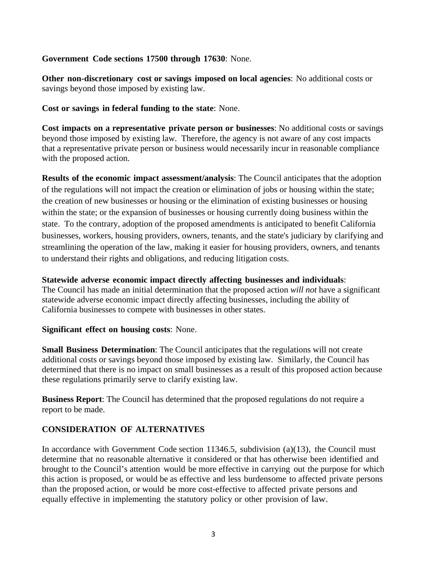#### **Government Code sections 17500 through 17630**: None.

**Other non-discretionary cost or savings imposed on local agencies**: No additional costs or savings beyond those imposed by existing law.

**Cost or savings in federal funding to the state**: None.

**Cost impacts on a representative private person or businesses**: No additional costs or savings beyond those imposed by existing law. Therefore, the agency is not aware of any cost impacts that a representative private person or business would necessarily incur in reasonable compliance with the proposed action.

**Results of the economic impact assessment/analysis**: The Council anticipates that the adoption of the regulations will not impact the creation or elimination of jobs or housing within the state; the creation of new businesses or housing or the elimination of existing businesses or housing within the state; or the expansion of businesses or housing currently doing business within the state. To the contrary, adoption of the proposed amendments is anticipated to benefit California businesses, workers, housing providers, owners, tenants, and the state's judiciary by clarifying and streamlining the operation of the law, making it easier for housing providers, owners, and tenants to understand their rights and obligations, and reducing litigation costs.

#### **Statewide adverse economic impact directly affecting businesses and individuals**:

The Council has made an initial determination that the proposed action *will not* have a significant statewide adverse economic impact directly affecting businesses, including the ability of California businesses to compete with businesses in other states.

#### **Significant effect on housing costs**: None.

**Small Business Determination**: The Council anticipates that the regulations will not create additional costs or savings beyond those imposed by existing law. Similarly, the Council has determined that there is no impact on small businesses as a result of this proposed action because these regulations primarily serve to clarify existing law.

**Business Report**: The Council has determined that the proposed regulations do not require a report to be made.

## **CONSIDERATION OF ALTERNATIVES**

In accordance with Government Code section 11346.5, subdivision (a)(13), the Council must determine that no reasonable alternative it considered or that has otherwise been identified and brought to the Council's attention would be more effective in carrying out the purpose for which this action is proposed, or would be as effective and less burdensome to affected private persons than the proposed action, or would be more cost-effective to affected private persons and equally effective in implementing the statutory policy or other provision of law.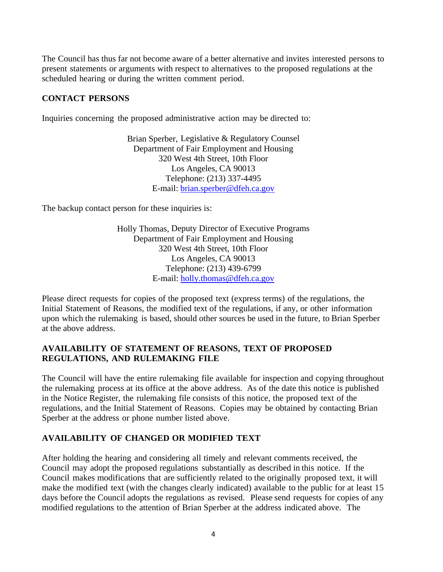The Council has thus far not become aware of a better alternative and invites interested persons to present statements or arguments with respect to alternatives to the proposed regulations at the scheduled hearing or during the written comment period.

#### **CONTACT PERSONS**

Inquiries concerning the proposed administrative action may be directed to:

Brian Sperber, Legislative & Regulatory Counsel Department of Fair Employment and Housing 320 West 4th Street, 10th Floor Los Angeles, CA 90013 Telephone: (213) 337-4495 E-mail: brian.sperber@dfeh.ca.gov

The backup contact person for these inquiries is:

Holly Thomas, Deputy Director of Executive Programs Department of Fair Employment and Housing 320 West 4th Street, 10th Floor Los Angeles, CA 90013 Telephone: (213) 439-6799 E-mail: holly.thomas@dfeh.ca.gov

Please direct requests for copies of the proposed text (express terms) of the regulations, the Initial Statement of Reasons, the modified text of the regulations, if any, or other information upon which the rulemaking is based, should other sources be used in the future, to Brian Sperber at the above address.

#### **AVAILABILITY OF STATEMENT OF REASONS, TEXT OF PROPOSED REGULATIONS, AND RULEMAKING FILE**

The Council will have the entire rulemaking file available for inspection and copying throughout the rulemaking process at its office at the above address. As of the date this notice is published in the Notice Register, the rulemaking file consists of this notice, the proposed text of the regulations, and the Initial Statement of Reasons. Copies may be obtained by contacting Brian Sperber at the address or phone number listed above.

#### **AVAILABILITY OF CHANGED OR MODIFIED TEXT**

After holding the hearing and considering all timely and relevant comments received, the Council may adopt the proposed regulations substantially as described in this notice. If the Council makes modifications that are sufficiently related to the originally proposed text, it will make the modified text (with the changes clearly indicated) available to the public for at least 15 days before the Council adopts the regulations as revised. Please send requests for copies of any modified regulations to the attention of Brian Sperber at the address indicated above. The